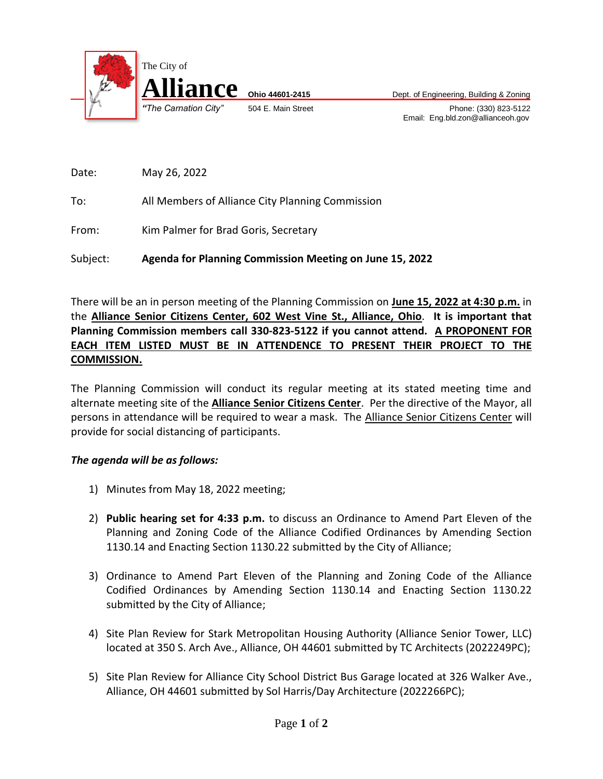

*"The Carnation City"* 504 E. Main Street Phone: (330) 823-5122 Email: Eng.bld.zon@allianceoh.gov

Date: May 26, 2022

To: All Members of Alliance City Planning Commission

From: Kim Palmer for Brad Goris, Secretary

Subject: **Agenda for Planning Commission Meeting on June 15, 2022**

There will be an in person meeting of the Planning Commission on **June 15, 2022 at 4:30 p.m.** in the **Alliance Senior Citizens Center, 602 West Vine St., Alliance, Ohio**. **It is important that Planning Commission members call 330-823-5122 if you cannot attend. A PROPONENT FOR EACH ITEM LISTED MUST BE IN ATTENDENCE TO PRESENT THEIR PROJECT TO THE COMMISSION.**

The Planning Commission will conduct its regular meeting at its stated meeting time and alternate meeting site of the **Alliance Senior Citizens Center**. Per the directive of the Mayor, all persons in attendance will be required to wear a mask. The Alliance Senior Citizens Center will provide for social distancing of participants.

## *The agenda will be as follows:*

- 1) Minutes from May 18, 2022 meeting;
- 2) **Public hearing set for 4:33 p.m.** to discuss an Ordinance to Amend Part Eleven of the Planning and Zoning Code of the Alliance Codified Ordinances by Amending Section 1130.14 and Enacting Section 1130.22 submitted by the City of Alliance;
- 3) Ordinance to Amend Part Eleven of the Planning and Zoning Code of the Alliance Codified Ordinances by Amending Section 1130.14 and Enacting Section 1130.22 submitted by the City of Alliance;
- 4) Site Plan Review for Stark Metropolitan Housing Authority (Alliance Senior Tower, LLC) located at 350 S. Arch Ave., Alliance, OH 44601 submitted by TC Architects (2022249PC);
- 5) Site Plan Review for Alliance City School District Bus Garage located at 326 Walker Ave., Alliance, OH 44601 submitted by Sol Harris/Day Architecture (2022266PC);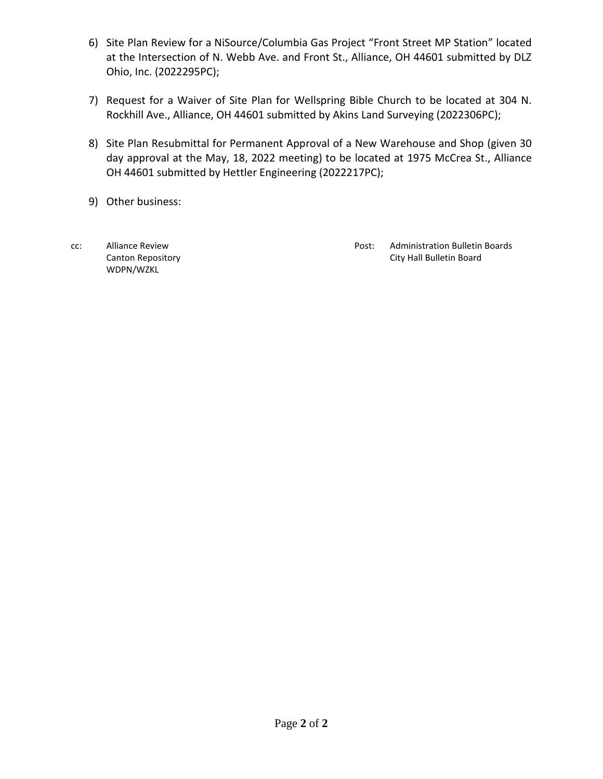- 6) Site Plan Review for a NiSource/Columbia Gas Project "Front Street MP Station" located at the Intersection of N. Webb Ave. and Front St., Alliance, OH 44601 submitted by DLZ Ohio, Inc. (2022295PC);
- 7) Request for a Waiver of Site Plan for Wellspring Bible Church to be located at 304 N. Rockhill Ave., Alliance, OH 44601 submitted by Akins Land Surveying (2022306PC);
- 8) Site Plan Resubmittal for Permanent Approval of a New Warehouse and Shop (given 30 day approval at the May, 18, 2022 meeting) to be located at 1975 McCrea St., Alliance OH 44601 submitted by Hettler Engineering (2022217PC);
- 9) Other business:
- WDPN/WZKL

cc: Alliance Review **Post: Administration Bulletin Boards** Post: Administration Bulletin Boards Canton Repository City Hall Bulletin Board